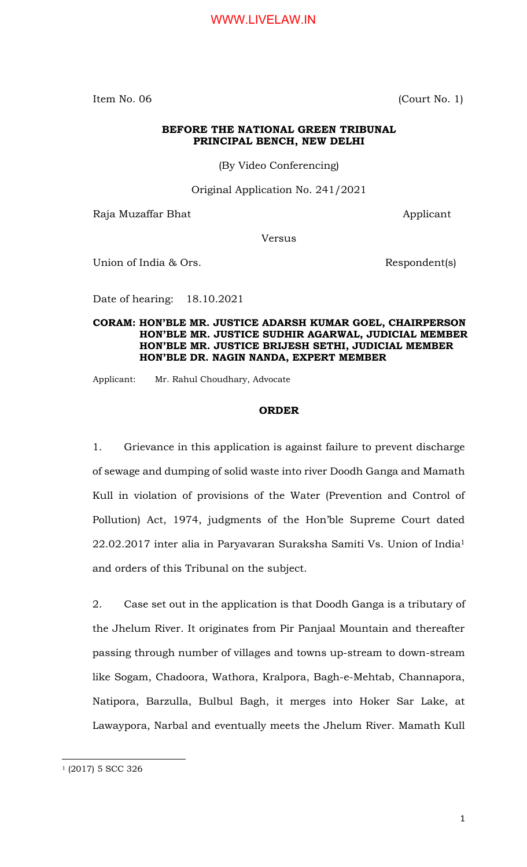Item No. 06 (Court No. 1)

#### **BEFORE THE NATIONAL GREEN TRIBUNAL PRINCIPAL BENCH, NEW DELHI**

(By Video Conferencing)

Original Application No. 241/2021

Raja Muzaffar Bhat Applicant

Versus

Union of India & Ors. Respondent(s)

Date of hearing: 18.10.2021

**CORAM: HON'BLE MR. JUSTICE ADARSH KUMAR GOEL, CHAIRPERSON HON'BLE MR. JUSTICE SUDHIR AGARWAL, JUDICIAL MEMBER HON'BLE MR. JUSTICE BRIJESH SETHI, JUDICIAL MEMBER HON'BLE DR. NAGIN NANDA, EXPERT MEMBER**

Applicant: Mr. Rahul Choudhary, Advocate

#### **ORDER**

1. Grievance in this application is against failure to prevent discharge of sewage and dumping of solid waste into river Doodh Ganga and Mamath Kull in violation of provisions of the Water (Prevention and Control of Pollution) Act, 1974, judgments of the Hon'ble Supreme Court dated 22.02.2017 inter alia in Paryavaran Suraksha Samiti Vs. Union of India<sup>1</sup> and orders of this Tribunal on the subject.

2. Case set out in the application is that Doodh Ganga is a tributary of the Jhelum River. It originates from Pir Panjaal Mountain and thereafter passing through number of villages and towns up-stream to down-stream like Sogam, Chadoora, Wathora, Kralpora, Bagh-e-Mehtab, Channapora, Natipora, Barzulla, Bulbul Bagh, it merges into Hoker Sar Lake, at Lawaypora, Narbal and eventually meets the Jhelum River. Mamath Kull

 $\overline{a}$ 

<sup>&</sup>lt;sup>1</sup> (2017) 5 SCC 326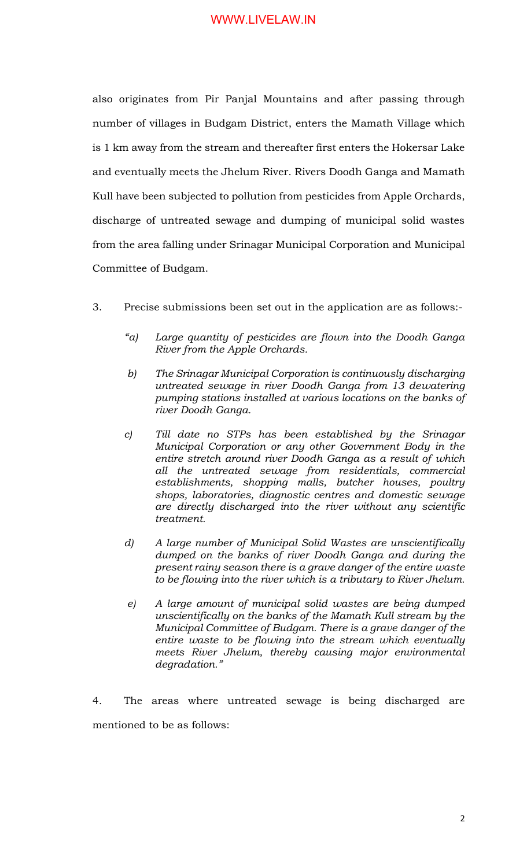also originates from Pir Panjal Mountains and after passing through number of villages in Budgam District, enters the Mamath Village which is 1 km away from the stream and thereafter first enters the Hokersar Lake and eventually meets the Jhelum River. Rivers Doodh Ganga and Mamath Kull have been subjected to pollution from pesticides from Apple Orchards, discharge of untreated sewage and dumping of municipal solid wastes from the area falling under Srinagar Municipal Corporation and Municipal Committee of Budgam.

- 3. Precise submissions been set out in the application are as follows:-
	- *"a) Large quantity of pesticides are flown into the Doodh Ganga River from the Apple Orchards.*
	- *b) The Srinagar Municipal Corporation is continuously discharging untreated sewage in river Doodh Ganga from 13 dewatering pumping stations installed at various locations on the banks of river Doodh Ganga.*
	- *c) Till date no STPs has been established by the Srinagar Municipal Corporation or any other Government Body in the entire stretch around river Doodh Ganga as a result of which all the untreated sewage from residentials, commercial establishments, shopping malls, butcher houses, poultry shops, laboratories, diagnostic centres and domestic sewage are directly discharged into the river without any scientific treatment.*
	- *d) A large number of Municipal Solid Wastes are unscientifically dumped on the banks of river Doodh Ganga and during the present rainy season there is a grave danger of the entire waste to be flowing into the river which is a tributary to River Jhelum.*
	- *e) A large amount of municipal solid wastes are being dumped unscientifically on the banks of the Mamath Kull stream by the Municipal Committee of Budgam. There is a grave danger of the entire waste to be flowing into the stream which eventually meets River Jhelum, thereby causing major environmental degradation."*

4. The areas where untreated sewage is being discharged are mentioned to be as follows: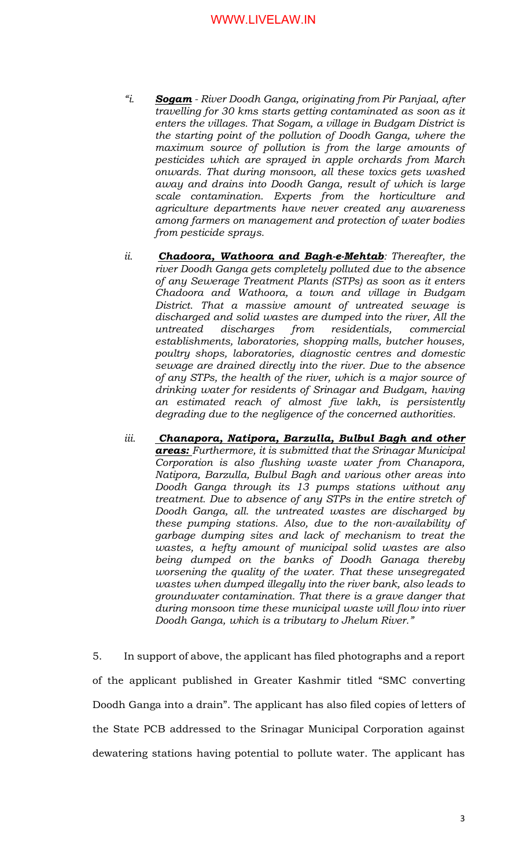- *"i. Sogam - River Doodh Ganga, originating from Pir Panjaal, after travelling for 30 kms starts getting contaminated as soon as it enters the villages. That Sogam, a village in Budgam District is the starting point of the pollution of Doodh Ganga, where the maximum source of pollution is from the large amounts of pesticides which are sprayed in apple orchards from March onwards. That during monsoon, all these toxics gets washed away and drains into Doodh Ganga, result of which is large scale contamination. Experts from the horticulture and agriculture departments have never created any awareness among farmers on management and protection of water bodies from pesticide sprays.*
- *ii. Chadoora, Wathoora and Bagh-e-Mehtab: Thereafter, the river Doodh Ganga gets completely polluted due to the absence of any Sewerage Treatment Plants (STPs) as soon as it enters Chadoora and Wathoora, a town and village in Budgam District. That a massive amount of untreated sewage is discharged and solid wastes are dumped into the river, All the untreated discharges from residentials, commercial establishments, laboratories, shopping malls, butcher houses, poultry shops, laboratories, diagnostic centres and domestic sewage are drained directly into the river. Due to the absence of any STPs, the health of the river, which is a major source of drinking water for residents of Srinagar and Budgam, having an estimated reach of almost five lakh, is persistently degrading due to the negligence of the concerned authorities.*
- *iii. Chanapora, Natipora, Barzulla, Bulbul Bagh and other areas: Furthermore, it is submitted that the Srinagar Municipal Corporation is also flushing waste water from Chanapora, Natipora, Barzulla, Bulbul Bagh and various other areas into Doodh Ganga through its 13 pumps stations without any treatment. Due to absence of any STPs in the entire stretch of Doodh Ganga, all. the untreated wastes are discharged by these pumping stations. Also, due to the non-availability of garbage dumping sites and lack of mechanism to treat the wastes, a hefty amount of municipal solid wastes are also being dumped on the banks of Doodh Ganaga thereby worsening the quality of the water. That these unsegregated wastes when dumped illegally into the river bank, also leads to groundwater contamination. That there is a grave danger that during monsoon time these municipal waste will flow into river Doodh Ganga, which is a tributary to Jhelum River."*

5. In support of above, the applicant has filed photographs and a report of the applicant published in Greater Kashmir titled "SMC converting Doodh Ganga into a drain". The applicant has also filed copies of letters of the State PCB addressed to the Srinagar Municipal Corporation against dewatering stations having potential to pollute water. The applicant has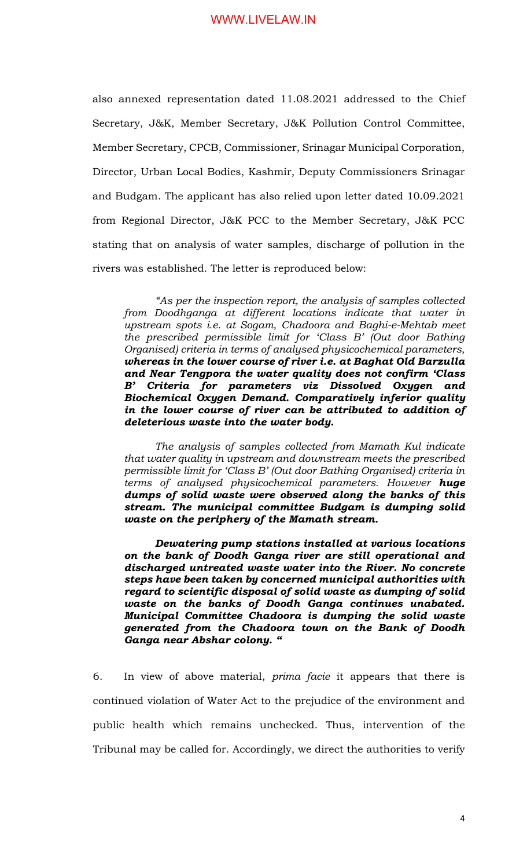also annexed representation dated 11.08.2021 addressed to the Chief Secretary, J&K, Member Secretary, J&K Pollution Control Committee, Member Secretary, CPCB, Commissioner, Srinagar Municipal Corporation, Director, Urban Local Bodies, Kashmir, Deputy Commissioners Srinagar and Budgam. The applicant has also relied upon letter dated 10.09.2021 from Regional Director, J&K PCC to the Member Secretary, J&K PCC stating that on analysis of water samples, discharge of pollution in the rivers was established. The letter is reproduced below:

*"As per the inspection report, the analysis of samples collected from Doodhganga at different locations indicate that water in upstream spots i.e. at Sogam, Chadoora and Baghi-e-Mehtab meet the prescribed permissible limit for 'Class B' (Out door Bathing Organised) criteria in terms of analysed physicochemical parameters, whereas in the lower course of river i.e. at Baghat Old Barzulla and Near Tengpora the water quality does not confirm 'Class B' Criteria for parameters viz Dissolved Oxygen and Biochemical Oxygen Demand. Comparatively inferior quality in the lower course of river can be attributed to addition of deleterious waste into the water body.* 

*The analysis of samples collected from Mamath Kul indicate that water quality in upstream and downstream meets the prescribed permissible limit for 'Class B' (Out door Bathing Organised) criteria in terms of analysed physicochemical parameters. However huge dumps of solid waste were observed along the banks of this stream. The municipal committee Budgam is dumping solid waste on the periphery of the Mamath stream.* 

*Dewatering pump stations installed at various locations on the bank of Doodh Ganga river are still operational and discharged untreated waste water into the River. No concrete steps have been taken by concerned municipal authorities with regard to scientific disposal of solid waste as dumping of solid waste on the banks of Doodh Ganga continues unabated. Municipal Committee Chadoora is dumping the solid waste generated from the Chadoora town on the Bank of Doodh Ganga near Abshar colony. "*

6. In view of above material, *prima facie* it appears that there is continued violation of Water Act to the prejudice of the environment and public health which remains unchecked. Thus, intervention of the Tribunal may be called for. Accordingly, we direct the authorities to verify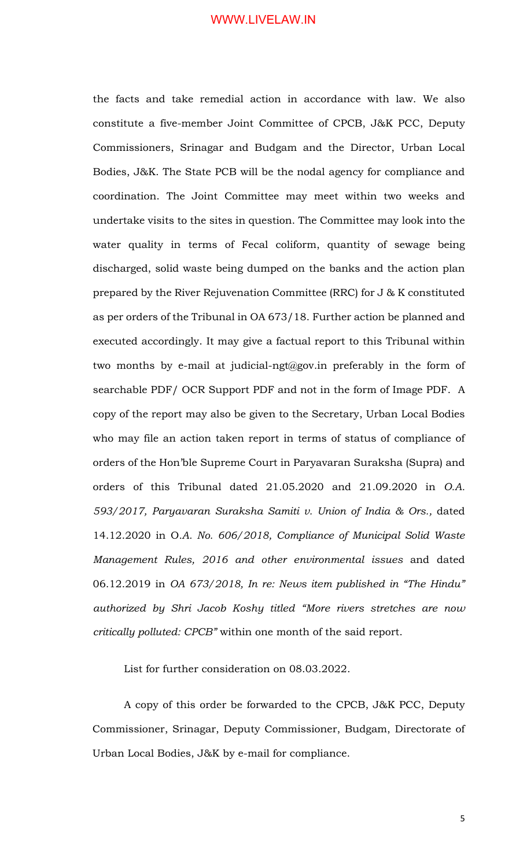the facts and take remedial action in accordance with law. We also constitute a five-member Joint Committee of CPCB, J&K PCC, Deputy Commissioners, Srinagar and Budgam and the Director, Urban Local Bodies, J&K. The State PCB will be the nodal agency for compliance and coordination. The Joint Committee may meet within two weeks and undertake visits to the sites in question. The Committee may look into the water quality in terms of Fecal coliform, quantity of sewage being discharged, solid waste being dumped on the banks and the action plan prepared by the River Rejuvenation Committee (RRC) for J & K constituted as per orders of the Tribunal in OA 673/18. Further action be planned and executed accordingly. It may give a factual report to this Tribunal within two months by e-mail at judicial-ngt@gov.in preferably in the form of searchable PDF/ OCR Support PDF and not in the form of Image PDF. A copy of the report may also be given to the Secretary, Urban Local Bodies who may file an action taken report in terms of status of compliance of orders of the Hon'ble Supreme Court in Paryavaran Suraksha (Supra) and orders of this Tribunal dated 21.05.2020 and 21.09.2020 in *O.A. 593/2017, Paryavaran Suraksha Samiti v. Union of India & Ors.,* dated 14.12.2020 in O*.A. No. 606/2018, Compliance of Municipal Solid Waste Management Rules, 2016 and other environmental issues* and dated 06.12.2019 in *OA 673/2018, In re: News item published in "The Hindu" authorized by Shri Jacob Koshy titled "More rivers stretches are now critically polluted: CPCB"* within one month of the said report.

List for further consideration on 08.03.2022.

A copy of this order be forwarded to the CPCB, J&K PCC, Deputy Commissioner, Srinagar, Deputy Commissioner, Budgam, Directorate of Urban Local Bodies, J&K by e-mail for compliance.

5